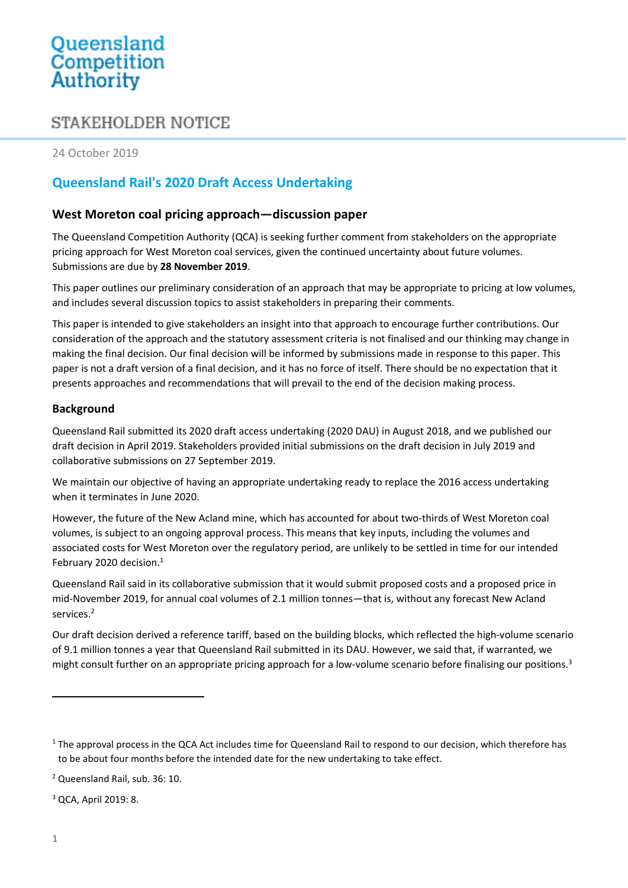# Queensland<br>Competition Authority

# STAKEHOLDER NOTICE

24 October 2019

# **Queensland Rail's 2020 Draft Access Undertaking**

# **West Moreton coal pricing approach—discussion paper**

The Queensland Competition Authority (QCA) is seeking further comment from stakeholders on the appropriate pricing approach for West Moreton coal services, given the continued uncertainty about future volumes. Submissions are due by **28 November 2019**.

This paper outlines our preliminary consideration of an approach that may be appropriate to pricing at low volumes, and includes several discussion topics to assist stakeholders in preparing their comments.

This paper is intended to give stakeholders an insight into that approach to encourage further contributions. Our consideration of the approach and the statutory assessment criteria is not finalised and our thinking may change in making the final decision. Our final decision will be informed by submissions made in response to this paper. This paper is not a draft version of a final decision, and it has no force of itself. There should be no expectation that it presents approaches and recommendations that will prevail to the end of the decision making process.

# **Background**

Queensland Rail submitted its 2020 draft access undertaking (2020 DAU) in August 2018, and we published our draft decision in April 2019. Stakeholders provided initial submissions on the draft decision in July 2019 and collaborative submissions on 27 September 2019.

We maintain our objective of having an appropriate undertaking ready to replace the 2016 access undertaking when it terminates in June 2020.

However, the future of the New Acland mine, which has accounted for about two-thirds of West Moreton coal volumes, is subject to an ongoing approval process. This means that key inputs, including the volumes and associated costs for West Moreton over the regulatory period, are unlikely to be settled in time for our intended February 2020 decision.<sup>1</sup>

Queensland Rail said in its collaborative submission that it would submit proposed costs and a proposed price in mid-November 2019, for annual coal volumes of 2.1 million tonnes—that is, without any forecast New Acland services. 2

Our draft decision derived a reference tariff, based on the building blocks, which reflected the high-volume scenario of 9.1 million tonnes a year that Queensland Rail submitted in its DAU. However, we said that, if warranted, we might consult further on an appropriate pricing approach for a low-volume scenario before finalising our positions.<sup>3</sup>

<sup>3</sup> QCA, April 2019: 8.

 $1$  The approval process in the QCA Act includes time for Queensland Rail to respond to our decision, which therefore has to be about four months before the intended date for the new undertaking to take effect.

<sup>2</sup> Queensland Rail, sub. 36: 10.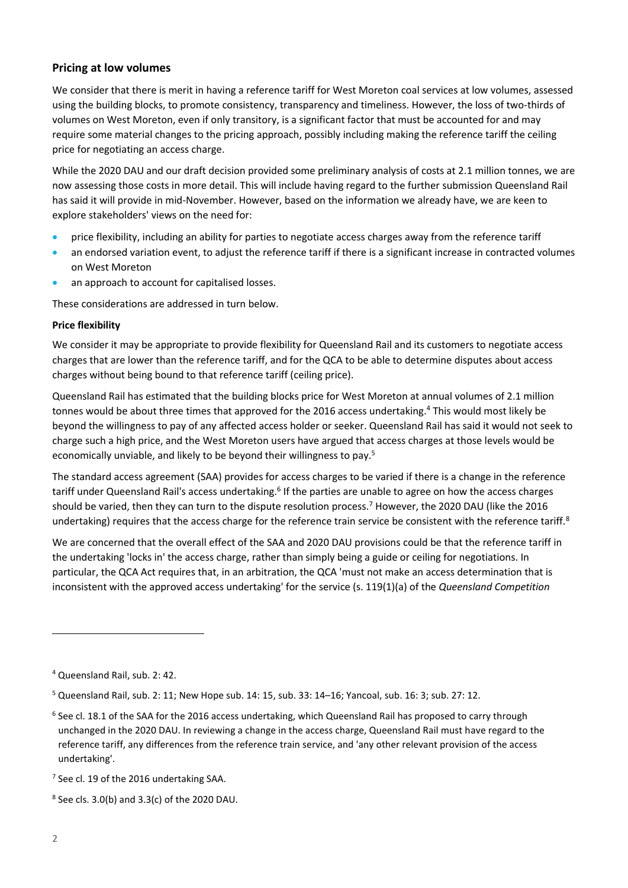## **Pricing at low volumes**

We consider that there is merit in having a reference tariff for West Moreton coal services at low volumes, assessed using the building blocks, to promote consistency, transparency and timeliness. However, the loss of two-thirds of volumes on West Moreton, even if only transitory, is a significant factor that must be accounted for and may require some material changes to the pricing approach, possibly including making the reference tariff the ceiling price for negotiating an access charge.

While the 2020 DAU and our draft decision provided some preliminary analysis of costs at 2.1 million tonnes, we are now assessing those costs in more detail. This will include having regard to the further submission Queensland Rail has said it will provide in mid-November. However, based on the information we already have, we are keen to explore stakeholders' views on the need for:

- price flexibility, including an ability for parties to negotiate access charges away from the reference tariff
- an endorsed variation event, to adjust the reference tariff if there is a significant increase in contracted volumes on West Moreton
- an approach to account for capitalised losses.

These considerations are addressed in turn below.

#### **Price flexibility**

We consider it may be appropriate to provide flexibility for Queensland Rail and its customers to negotiate access charges that are lower than the reference tariff, and for the QCA to be able to determine disputes about access charges without being bound to that reference tariff (ceiling price).

Queensland Rail has estimated that the building blocks price for West Moreton at annual volumes of 2.1 million tonnes would be about three times that approved for the 2016 access undertaking. <sup>4</sup> This would most likely be beyond the willingness to pay of any affected access holder or seeker. Queensland Rail has said it would not seek to charge such a high price, and the West Moreton users have argued that access charges at those levels would be economically unviable, and likely to be beyond their willingness to pay.<sup>5</sup>

The standard access agreement (SAA) provides for access charges to be varied if there is a change in the reference tariff under Queensland Rail's access undertaking.<sup>6</sup> If the parties are unable to agree on how the access charges should be varied, then they can turn to the dispute resolution process.<sup>7</sup> However, the 2020 DAU (like the 2016 undertaking) requires that the access charge for the reference train service be consistent with the reference tariff. $8$ 

We are concerned that the overall effect of the SAA and 2020 DAU provisions could be that the reference tariff in the undertaking 'locks in' the access charge, rather than simply being a guide or ceiling for negotiations. In particular, the QCA Act requires that, in an arbitration, the QCA 'must not make an access determination that is inconsistent with the approved access undertaking' for the service (s. 119(1)(a) of the *Queensland Competition* 

<sup>4</sup> Queensland Rail, sub. 2: 42.

 $5$  Queensland Rail, sub. 2: 11; New Hope sub. 14: 15, sub. 33: 14-16; Yancoal, sub. 16: 3; sub. 27: 12.

<sup>&</sup>lt;sup>6</sup> See cl. 18.1 of the SAA for the 2016 access undertaking, which Queensland Rail has proposed to carry through unchanged in the 2020 DAU. In reviewing a change in the access charge, Queensland Rail must have regard to the reference tariff, any differences from the reference train service, and 'any other relevant provision of the access undertaking'.

<sup>&</sup>lt;sup>7</sup> See cl. 19 of the 2016 undertaking SAA.

 $8$  See cls. 3.0(b) and 3.3(c) of the 2020 DAU.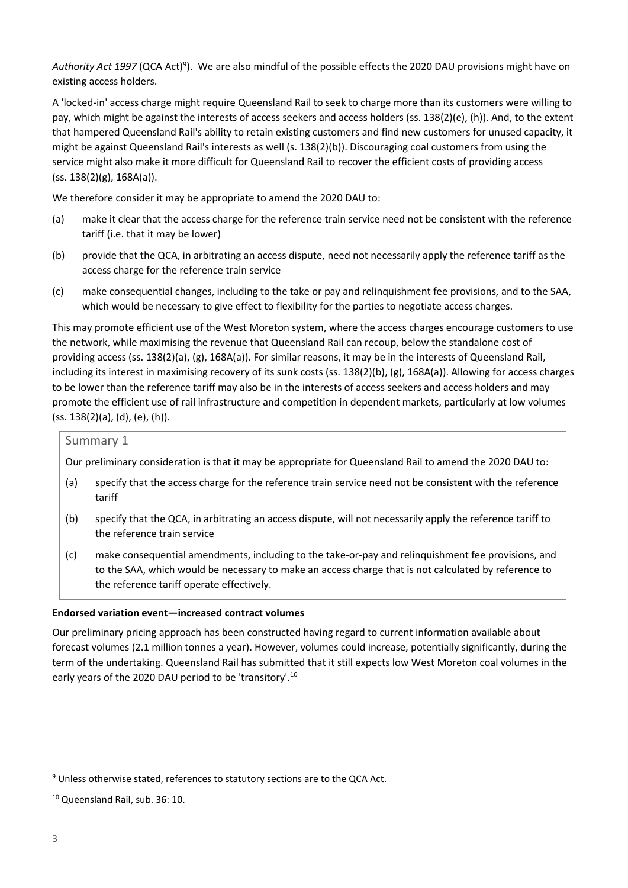Authority Act 1997 (QCA Act)<sup>9</sup>). We are also mindful of the possible effects the 2020 DAU provisions might have on existing access holders.

A 'locked-in' access charge might require Queensland Rail to seek to charge more than its customers were willing to pay, which might be against the interests of access seekers and access holders (ss. 138(2)(e), (h)). And, to the extent that hampered Queensland Rail's ability to retain existing customers and find new customers for unused capacity, it might be against Queensland Rail's interests as well (s. 138(2)(b)). Discouraging coal customers from using the service might also make it more difficult for Queensland Rail to recover the efficient costs of providing access  $(ss. 138(2)(g), 168A(a)).$ 

We therefore consider it may be appropriate to amend the 2020 DAU to:

- (a) make it clear that the access charge for the reference train service need not be consistent with the reference tariff (i.e. that it may be lower)
- (b) provide that the QCA, in arbitrating an access dispute, need not necessarily apply the reference tariff as the access charge for the reference train service
- (c) make consequential changes, including to the take or pay and relinquishment fee provisions, and to the SAA, which would be necessary to give effect to flexibility for the parties to negotiate access charges.

This may promote efficient use of the West Moreton system, where the access charges encourage customers to use the network, while maximising the revenue that Queensland Rail can recoup, below the standalone cost of providing access (ss. 138(2)(a), (g), 168A(a)). For similar reasons, it may be in the interests of Queensland Rail, including its interest in maximising recovery of its sunk costs (ss. 138(2)(b), (g), 168A(a)). Allowing for access charges to be lower than the reference tariff may also be in the interests of access seekers and access holders and may promote the efficient use of rail infrastructure and competition in dependent markets, particularly at low volumes (ss. 138(2)(a), (d), (e), (h)).

#### Summary 1

Our preliminary consideration is that it may be appropriate for Queensland Rail to amend the 2020 DAU to:

- (a) specify that the access charge for the reference train service need not be consistent with the reference tariff
- (b) specify that the QCA, in arbitrating an access dispute, will not necessarily apply the reference tariff to the reference train service
- (c) make consequential amendments, including to the take-or-pay and relinquishment fee provisions, and to the SAA, which would be necessary to make an access charge that is not calculated by reference to the reference tariff operate effectively.

#### **Endorsed variation event—increased contract volumes**

Our preliminary pricing approach has been constructed having regard to current information available about forecast volumes (2.1 million tonnes a year). However, volumes could increase, potentially significantly, during the term of the undertaking. Queensland Rail has submitted that it still expects low West Moreton coal volumes in the early years of the 2020 DAU period to be 'transitory'.<sup>10</sup>

<sup>&</sup>lt;sup>9</sup> Unless otherwise stated, references to statutory sections are to the QCA Act.

<sup>10</sup> Queensland Rail, sub. 36: 10.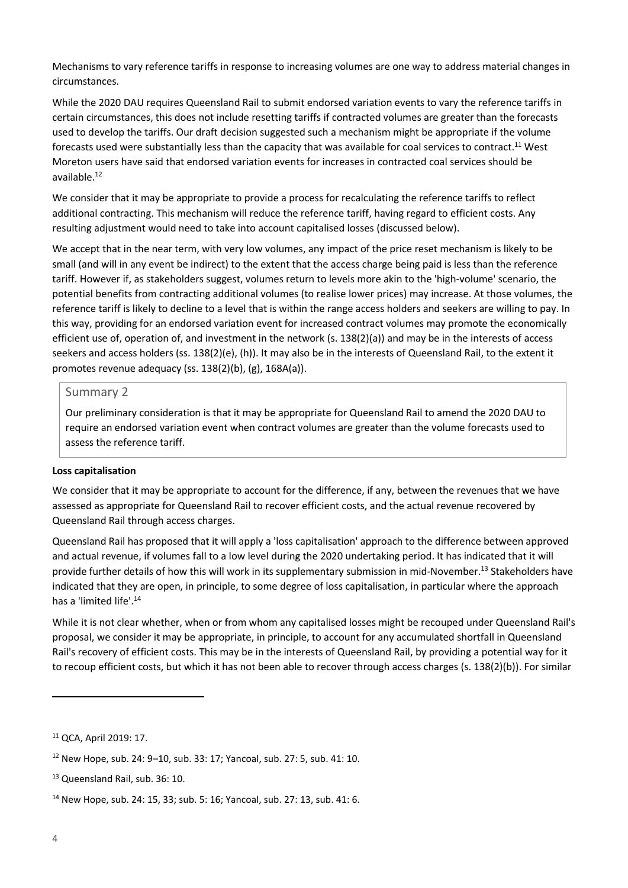Mechanisms to vary reference tariffs in response to increasing volumes are one way to address material changes in circumstances.

While the 2020 DAU requires Queensland Rail to submit endorsed variation events to vary the reference tariffs in certain circumstances, this does not include resetting tariffs if contracted volumes are greater than the forecasts used to develop the tariffs. Our draft decision suggested such a mechanism might be appropriate if the volume forecasts used were substantially less than the capacity that was available for coal services to contract.<sup>11</sup> West Moreton users have said that endorsed variation events for increases in contracted coal services should be available. 12

We consider that it may be appropriate to provide a process for recalculating the reference tariffs to reflect additional contracting. This mechanism will reduce the reference tariff, having regard to efficient costs. Any resulting adjustment would need to take into account capitalised losses (discussed below).

We accept that in the near term, with very low volumes, any impact of the price reset mechanism is likely to be small (and will in any event be indirect) to the extent that the access charge being paid is less than the reference tariff. However if, as stakeholders suggest, volumes return to levels more akin to the 'high-volume' scenario, the potential benefits from contracting additional volumes (to realise lower prices) may increase. At those volumes, the reference tariff is likely to decline to a level that is within the range access holders and seekers are willing to pay. In this way, providing for an endorsed variation event for increased contract volumes may promote the economically efficient use of, operation of, and investment in the network (s. 138(2)(a)) and may be in the interests of access seekers and access holders (ss. 138(2)(e), (h)). It may also be in the interests of Queensland Rail, to the extent it promotes revenue adequacy (ss. 138(2)(b), (g), 168A(a)).

#### Summary 2

Our preliminary consideration is that it may be appropriate for Queensland Rail to amend the 2020 DAU to require an endorsed variation event when contract volumes are greater than the volume forecasts used to assess the reference tariff.

#### **Loss capitalisation**

We consider that it may be appropriate to account for the difference, if any, between the revenues that we have assessed as appropriate for Queensland Rail to recover efficient costs, and the actual revenue recovered by Queensland Rail through access charges.

Queensland Rail has proposed that it will apply a 'loss capitalisation' approach to the difference between approved and actual revenue, if volumes fall to a low level during the 2020 undertaking period. It has indicated that it will provide further details of how this will work in its supplementary submission in mid-November.<sup>13</sup> Stakeholders have indicated that they are open, in principle, to some degree of loss capitalisation, in particular where the approach has a 'limited life'. 14

While it is not clear whether, when or from whom any capitalised losses might be recouped under Queensland Rail's proposal, we consider it may be appropriate, in principle, to account for any accumulated shortfall in Queensland Rail's recovery of efficient costs. This may be in the interests of Queensland Rail, by providing a potential way for it to recoup efficient costs, but which it has not been able to recover through access charges (s. 138(2)(b)). For similar

<sup>11</sup> QCA, April 2019: 17.

<sup>12</sup> New Hope, sub. 24: 9–10, sub. 33: 17; Yancoal, sub. 27: 5, sub. 41: 10.

<sup>13</sup> Queensland Rail, sub. 36: 10.

<sup>14</sup> New Hope, sub. 24: 15, 33; sub. 5: 16; Yancoal, sub. 27: 13, sub. 41: 6.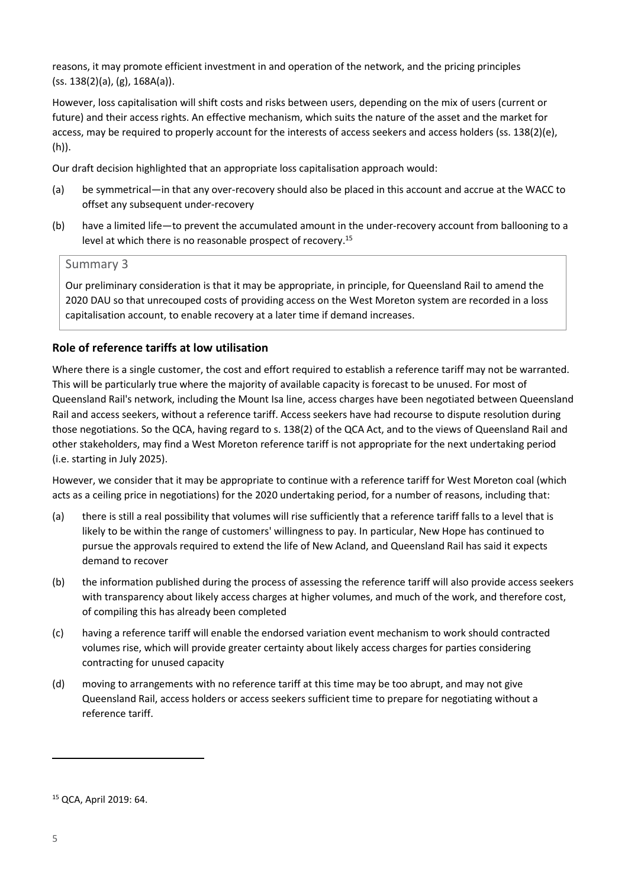reasons, it may promote efficient investment in and operation of the network, and the pricing principles (ss. 138(2)(a), (g), 168A(a)).

However, loss capitalisation will shift costs and risks between users, depending on the mix of users (current or future) and their access rights. An effective mechanism, which suits the nature of the asset and the market for access, may be required to properly account for the interests of access seekers and access holders (ss. 138(2)(e), (h)).

Our draft decision highlighted that an appropriate loss capitalisation approach would:

- (a) be symmetrical—in that any over-recovery should also be placed in this account and accrue at the WACC to offset any subsequent under-recovery
- (b) have a limited life—to prevent the accumulated amount in the under-recovery account from ballooning to a level at which there is no reasonable prospect of recovery. 15

#### Summary 3

Our preliminary consideration is that it may be appropriate, in principle, for Queensland Rail to amend the 2020 DAU so that unrecouped costs of providing access on the West Moreton system are recorded in a loss capitalisation account, to enable recovery at a later time if demand increases.

## **Role of reference tariffs at low utilisation**

Where there is a single customer, the cost and effort required to establish a reference tariff may not be warranted. This will be particularly true where the majority of available capacity is forecast to be unused. For most of Queensland Rail's network, including the Mount Isa line, access charges have been negotiated between Queensland Rail and access seekers, without a reference tariff. Access seekers have had recourse to dispute resolution during those negotiations. So the QCA, having regard to s. 138(2) of the QCA Act, and to the views of Queensland Rail and other stakeholders, may find a West Moreton reference tariff is not appropriate for the next undertaking period (i.e. starting in July 2025).

However, we consider that it may be appropriate to continue with a reference tariff for West Moreton coal (which acts as a ceiling price in negotiations) for the 2020 undertaking period, for a number of reasons, including that:

- (a) there is still a real possibility that volumes will rise sufficiently that a reference tariff falls to a level that is likely to be within the range of customers' willingness to pay. In particular, New Hope has continued to pursue the approvals required to extend the life of New Acland, and Queensland Rail has said it expects demand to recover
- (b) the information published during the process of assessing the reference tariff will also provide access seekers with transparency about likely access charges at higher volumes, and much of the work, and therefore cost, of compiling this has already been completed
- (c) having a reference tariff will enable the endorsed variation event mechanism to work should contracted volumes rise, which will provide greater certainty about likely access charges for parties considering contracting for unused capacity
- (d) moving to arrangements with no reference tariff at this time may be too abrupt, and may not give Queensland Rail, access holders or access seekers sufficient time to prepare for negotiating without a reference tariff.

<sup>15</sup> QCA, April 2019: 64.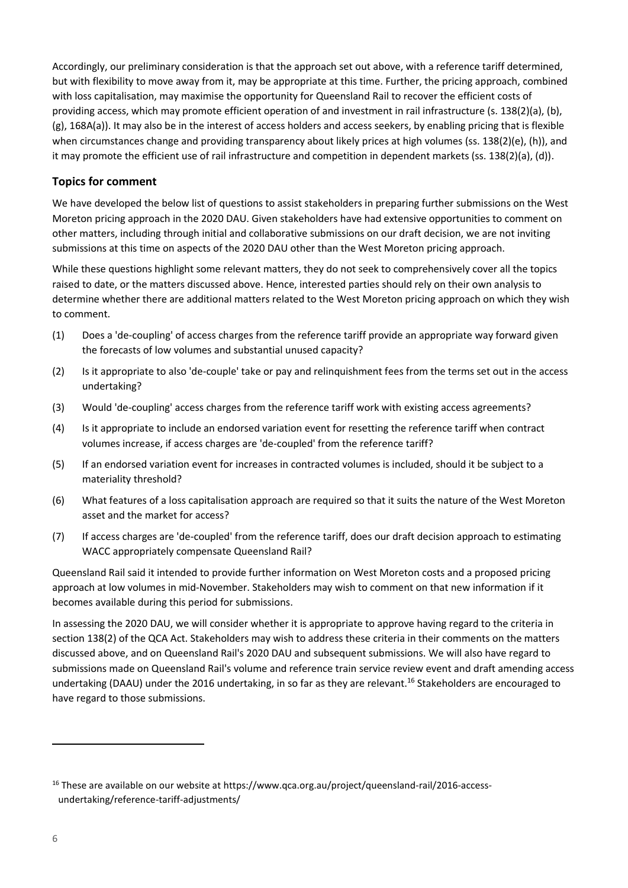Accordingly, our preliminary consideration is that the approach set out above, with a reference tariff determined, but with flexibility to move away from it, may be appropriate at this time. Further, the pricing approach, combined with loss capitalisation, may maximise the opportunity for Queensland Rail to recover the efficient costs of providing access, which may promote efficient operation of and investment in rail infrastructure (s. 138(2)(a), (b), (g), 168A(a)). It may also be in the interest of access holders and access seekers, by enabling pricing that is flexible when circumstances change and providing transparency about likely prices at high volumes (ss. 138(2)(e), (h)), and it may promote the efficient use of rail infrastructure and competition in dependent markets (ss. 138(2)(a), (d)).

# **Topics for comment**

We have developed the below list of questions to assist stakeholders in preparing further submissions on the West Moreton pricing approach in the 2020 DAU. Given stakeholders have had extensive opportunities to comment on other matters, including through initial and collaborative submissions on our draft decision, we are not inviting submissions at this time on aspects of the 2020 DAU other than the West Moreton pricing approach.

While these questions highlight some relevant matters, they do not seek to comprehensively cover all the topics raised to date, or the matters discussed above. Hence, interested parties should rely on their own analysis to determine whether there are additional matters related to the West Moreton pricing approach on which they wish to comment.

- (1) Does a 'de-coupling' of access charges from the reference tariff provide an appropriate way forward given the forecasts of low volumes and substantial unused capacity?
- (2) Is it appropriate to also 'de-couple' take or pay and relinquishment fees from the terms set out in the access undertaking?
- (3) Would 'de-coupling' access charges from the reference tariff work with existing access agreements?
- (4) Is it appropriate to include an endorsed variation event for resetting the reference tariff when contract volumes increase, if access charges are 'de-coupled' from the reference tariff?
- (5) If an endorsed variation event for increases in contracted volumes is included, should it be subject to a materiality threshold?
- (6) What features of a loss capitalisation approach are required so that it suits the nature of the West Moreton asset and the market for access?
- (7) If access charges are 'de-coupled' from the reference tariff, does our draft decision approach to estimating WACC appropriately compensate Queensland Rail?

Queensland Rail said it intended to provide further information on West Moreton costs and a proposed pricing approach at low volumes in mid-November. Stakeholders may wish to comment on that new information if it becomes available during this period for submissions.

In assessing the 2020 DAU, we will consider whether it is appropriate to approve having regard to the criteria in section 138(2) of the QCA Act. Stakeholders may wish to address these criteria in their comments on the matters discussed above, and on Queensland Rail's 2020 DAU and subsequent submissions. We will also have regard to submissions made on Queensland Rail's volume and reference train service review event and draft amending access undertaking (DAAU) under the 2016 undertaking, in so far as they are relevant.<sup>16</sup> Stakeholders are encouraged to have regard to those submissions.

<sup>&</sup>lt;sup>16</sup> These are available on our website at [https://www.qca.org.au/project/queensland-rail/2016-access](https://www.qca.org.au/project/queensland-rail/2016-access-undertaking/reference-tariff-adjustments/)[undertaking/reference-tariff-adjustments/](https://www.qca.org.au/project/queensland-rail/2016-access-undertaking/reference-tariff-adjustments/)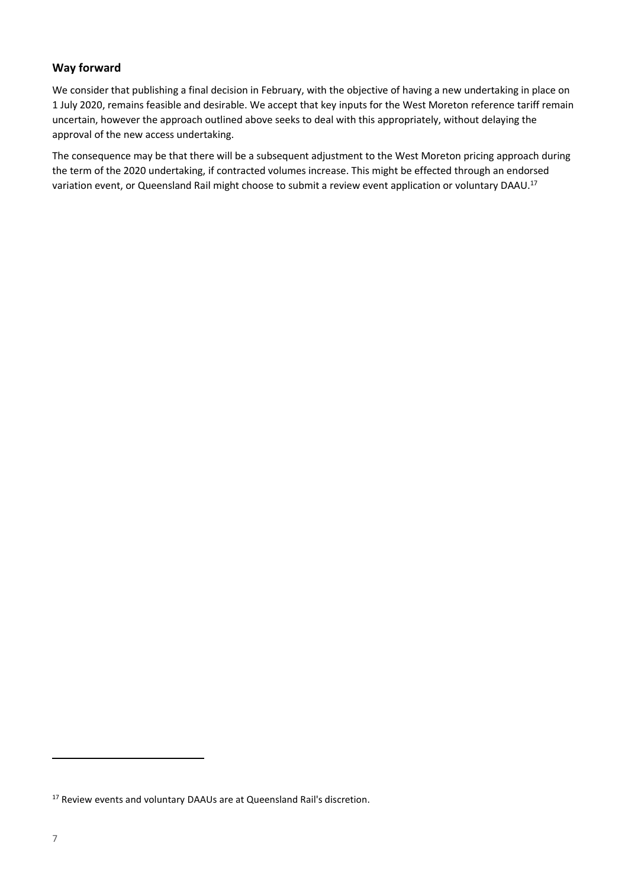# **Way forward**

We consider that publishing a final decision in February, with the objective of having a new undertaking in place on 1 July 2020, remains feasible and desirable. We accept that key inputs for the West Moreton reference tariff remain uncertain, however the approach outlined above seeks to deal with this appropriately, without delaying the approval of the new access undertaking.

The consequence may be that there will be a subsequent adjustment to the West Moreton pricing approach during the term of the 2020 undertaking, if contracted volumes increase. This might be effected through an endorsed variation event, or Queensland Rail might choose to submit a review event application or voluntary DAAU.<sup>17</sup>

<sup>&</sup>lt;sup>17</sup> Review events and voluntary DAAUs are at Queensland Rail's discretion.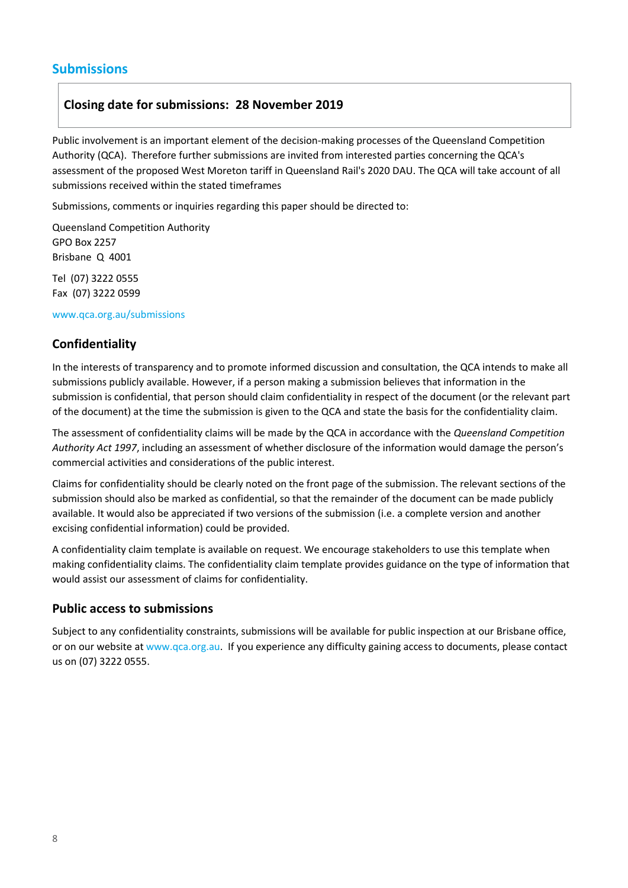# **Submissions**

# **Closing date for submissions: 28 November 2019**

Public involvement is an important element of the decision-making processes of the Queensland Competition Authority (QCA). Therefore further submissions are invited from interested parties concerning the QCA's assessment of the proposed West Moreton tariff in Queensland Rail's 2020 DAU. The QCA will take account of all submissions received within the stated timeframes

Submissions, comments or inquiries regarding this paper should be directed to:

Queensland Competition Authority GPO Box 2257 Brisbane Q 4001

Tel (07) 3222 0555 Fax (07) 3222 0599

www.qca.org.au/submissions

# **Confidentiality**

In the interests of transparency and to promote informed discussion and consultation, the QCA intends to make all submissions publicly available. However, if a person making a submission believes that information in the submission is confidential, that person should claim confidentiality in respect of the document (or the relevant part of the document) at the time the submission is given to the QCA and state the basis for the confidentiality claim.

The assessment of confidentiality claims will be made by the QCA in accordance with the *Queensland Competition Authority Act 1997*, including an assessment of whether disclosure of the information would damage the person's commercial activities and considerations of the public interest.

Claims for confidentiality should be clearly noted on the front page of the submission. The relevant sections of the submission should also be marked as confidential, so that the remainder of the document can be made publicly available. It would also be appreciated if two versions of the submission (i.e. a complete version and another excising confidential information) could be provided.

A confidentiality claim template is available on request. We encourage stakeholders to use this template when making confidentiality claims. The confidentiality claim template provides guidance on the type of information that would assist our assessment of claims for confidentiality.

## **Public access to submissions**

Subject to any confidentiality constraints, submissions will be available for public inspection at our Brisbane office, or on our website a[t www.qca.org.au.](http://www.qca.org.au/) If you experience any difficulty gaining access to documents, please contact us on (07) 3222 0555.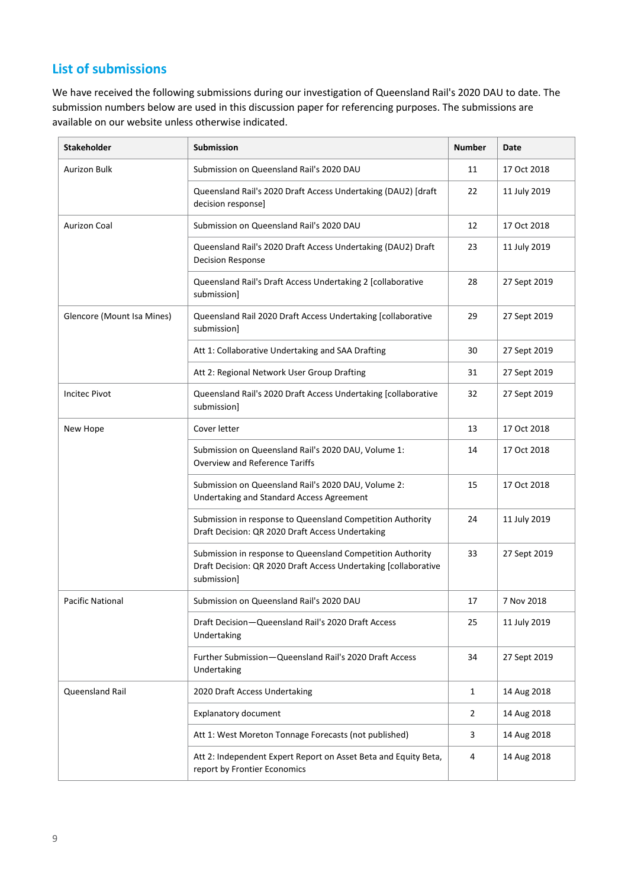# **List of submissions**

We have received the following submissions during our investigation of Queensland Rail's 2020 DAU to date. The submission numbers below are used in this discussion paper for referencing purposes. The submissions are available on our website unless otherwise indicated.

| <b>Stakeholder</b>         | <b>Submission</b>                                                                                                                            | <b>Number</b> | Date         |
|----------------------------|----------------------------------------------------------------------------------------------------------------------------------------------|---------------|--------------|
| Aurizon Bulk               | Submission on Queensland Rail's 2020 DAU                                                                                                     | 11            | 17 Oct 2018  |
|                            | Queensland Rail's 2020 Draft Access Undertaking (DAU2) [draft<br>decision response]                                                          | 22            | 11 July 2019 |
| <b>Aurizon Coal</b>        | Submission on Queensland Rail's 2020 DAU                                                                                                     | 12            | 17 Oct 2018  |
|                            | Queensland Rail's 2020 Draft Access Undertaking (DAU2) Draft<br><b>Decision Response</b>                                                     | 23            | 11 July 2019 |
|                            | Queensland Rail's Draft Access Undertaking 2 [collaborative<br>submission]                                                                   | 28            | 27 Sept 2019 |
| Glencore (Mount Isa Mines) | Queensland Rail 2020 Draft Access Undertaking [collaborative<br>submission]                                                                  | 29            | 27 Sept 2019 |
|                            | Att 1: Collaborative Undertaking and SAA Drafting                                                                                            | 30            | 27 Sept 2019 |
|                            | Att 2: Regional Network User Group Drafting                                                                                                  | 31            | 27 Sept 2019 |
| <b>Incitec Pivot</b>       | Queensland Rail's 2020 Draft Access Undertaking [collaborative<br>submission]                                                                | 32            | 27 Sept 2019 |
| New Hope                   | Cover letter                                                                                                                                 | 13            | 17 Oct 2018  |
|                            | Submission on Queensland Rail's 2020 DAU, Volume 1:<br><b>Overview and Reference Tariffs</b>                                                 | 14            | 17 Oct 2018  |
|                            | Submission on Queensland Rail's 2020 DAU, Volume 2:<br>Undertaking and Standard Access Agreement                                             | 15            | 17 Oct 2018  |
|                            | Submission in response to Queensland Competition Authority<br>Draft Decision: QR 2020 Draft Access Undertaking                               | 24            | 11 July 2019 |
|                            | Submission in response to Queensland Competition Authority<br>Draft Decision: QR 2020 Draft Access Undertaking [collaborative<br>submission] | 33            | 27 Sept 2019 |
| <b>Pacific National</b>    | Submission on Queensland Rail's 2020 DAU                                                                                                     | 17            | 7 Nov 2018   |
|                            | Draft Decision-Queensland Rail's 2020 Draft Access<br>Undertaking                                                                            | 25            | 11 July 2019 |
|                            | Further Submission-Queensland Rail's 2020 Draft Access<br>Undertaking                                                                        | 34            | 27 Sept 2019 |
| <b>Queensland Rail</b>     | 2020 Draft Access Undertaking                                                                                                                | 1             | 14 Aug 2018  |
|                            | <b>Explanatory document</b>                                                                                                                  | 2             | 14 Aug 2018  |
|                            | Att 1: West Moreton Tonnage Forecasts (not published)                                                                                        | 3             | 14 Aug 2018  |
|                            | Att 2: Independent Expert Report on Asset Beta and Equity Beta,<br>report by Frontier Economics                                              | 4             | 14 Aug 2018  |